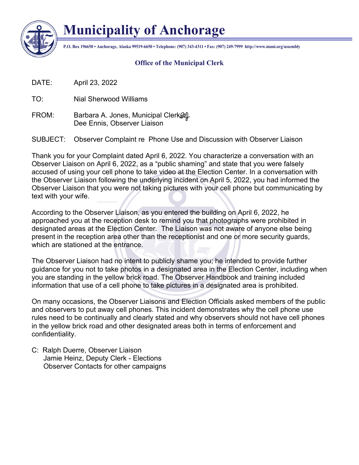

## **Municipality of Anchorage**

**P.O. Box 196650 • Anchorage, Alaska 99519-6650 • Telephone: (907) 343-4311 • Fax: (907) 249-7999 http://www.muni.org/assembly**

## **Office of the Municipal Clerk**

DATE: April 23, 2022

TO: Nial Sherwood Williams

FROM: Barbara A. Jones, Municipal Clerk& Dee Ennis, Observer Liaison

SUBJECT: Observer Complaint re Phone Use and Discussion with Observer Liaison

Thank you for your Complaint dated April 6, 2022. You characterize a conversation with an Observer Liaison on April 6, 2022, as a "public shaming" and state that you were falsely accused of using your cell phone to take video at the Election Center. In a conversation with the Observer Liaison following the underlying incident on April 5, 2022, you had informed the Observer Liaison that you were not taking pictures with your cell phone but communicating by text with your wife.

According to the Observer Liaison, as you entered the building on April 6, 2022, he approached you at the reception desk to remind you that photographs were prohibited in designated areas at the Election Center. The Liaison was not aware of anyone else being present in the reception area other than the receptionist and one or more security guards, which are stationed at the entrance.

The Observer Liaison had no intent to publicly shame you; he intended to provide further guidance for you not to take photos in a designated area in the Election Center, including when you are standing in the yellow brick road. The Observer Handbook and training included information that use of a cell phone to take pictures in a designated area is prohibited.

On many occasions, the Observer Liaisons and Election Officials asked members of the public and observers to put away cell phones. This incident demonstrates why the cell phone use rules need to be continually and clearly stated and why observers should not have cell phones in the yellow brick road and other designated areas both in terms of enforcement and confidentiality.

C: Ralph Duerre, Observer Liaison Jamie Heinz, Deputy Clerk - Elections Observer Contacts for other campaigns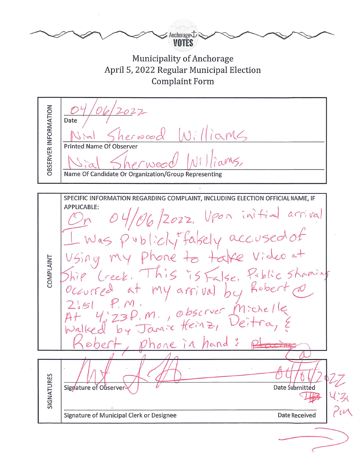Anchorageむミ Municipality of Anchorage April 5, 2022 Regular Municipal Election **Complaint Form** OBSERVER INFORMATION 2022 Date aMG  $1000$ **Printed Name Of Observer** Name Of Candidate Or Organization/Group Representing SPECIFIC INFORMATION REGARDING COMPLAINT, INCLUDING ELECTION OFFICIAL NAME, IF APPLICABLE:  $04/06/2022$ , Upon initial arrival Was publicly falsely accused of<br>sing my phone to take video at<br>ip (reek, This is False, Public shaming **COMPLAINT** This is False, my arrival by Rober 4:23P. M., observer Mic<br>Id by Jamie Heinz, Deit phone in hand SIGNATURES Date Submitted Signature of Observer Signature of Municipal Clerk or Designee Date Received